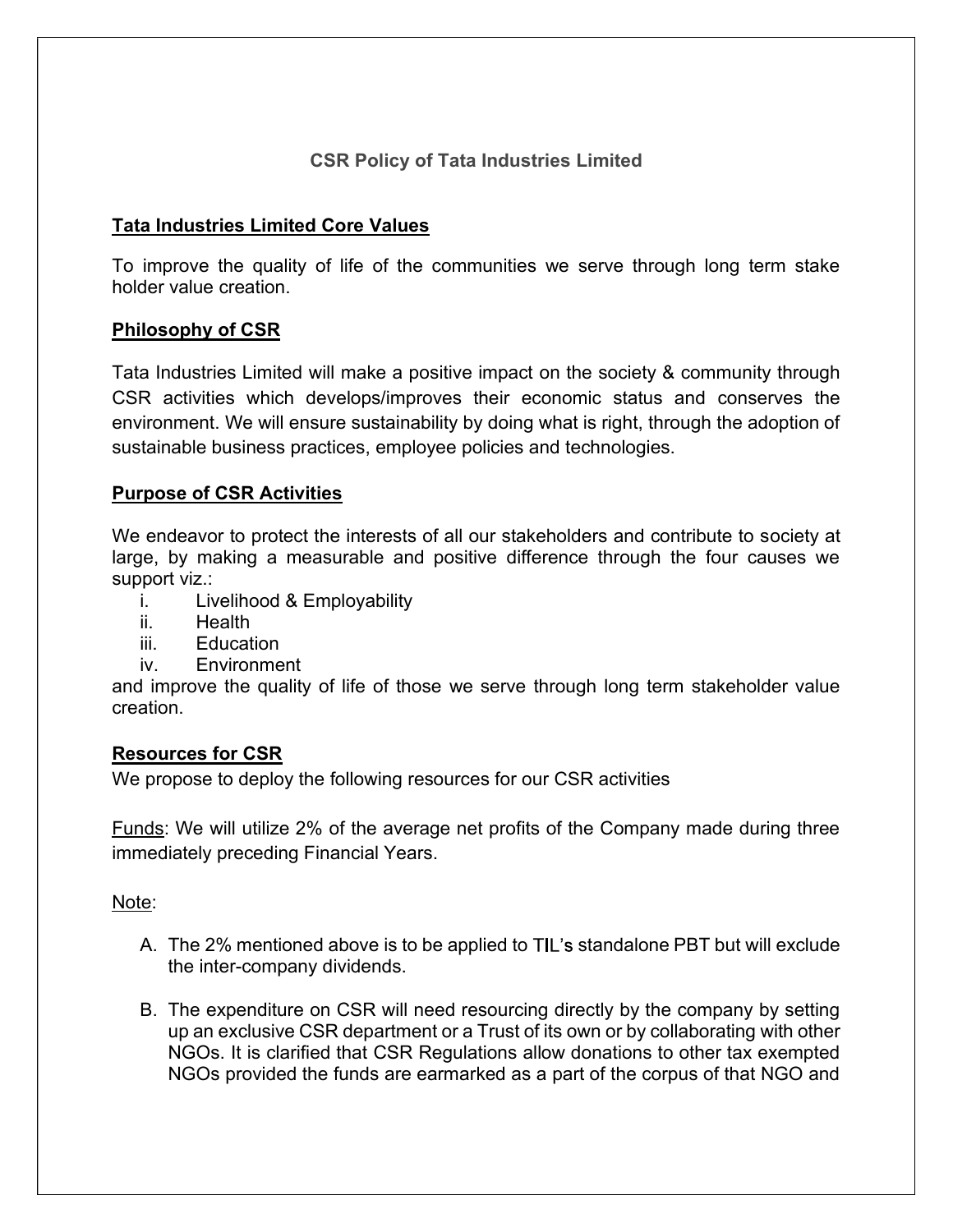# CSR Policy of Tata Industries Limited

# Tata Industries Limited Core Values

To improve the quality of life of the communities we serve through long term stake holder value creation.

# Philosophy of CSR

Tata Industries Limited will make a positive impact on the society & community through CSR activities which develops/improves their economic status and conserves the environment. We will ensure sustainability by doing what is right, through the adoption of sustainable business practices, employee policies and technologies.

# Purpose of CSR Activities

We endeavor to protect the interests of all our stakeholders and contribute to society at large, by making a measurable and positive difference through the four causes we support viz.:

- i. Livelihood & Employability
- ii. Health
- iii. Education
- iv. Environment

and improve the quality of life of those we serve through long term stakeholder value creation.

### Resources for CSR

We propose to deploy the following resources for our CSR activities

Funds: We will utilize 2% of the average net profits of the Company made during three immediately preceding Financial Years.

### Note:

- A. The 2% mentioned above is to be applied to TIL's standalone PBT but will exclude the inter-company dividends.
- B. The expenditure on CSR will need resourcing directly by the company by setting up an exclusive CSR department or a Trust of its own or by collaborating with other NGOs. It is clarified that CSR Regulations allow donations to other tax exempted NGOs provided the funds are earmarked as a part of the corpus of that NGO and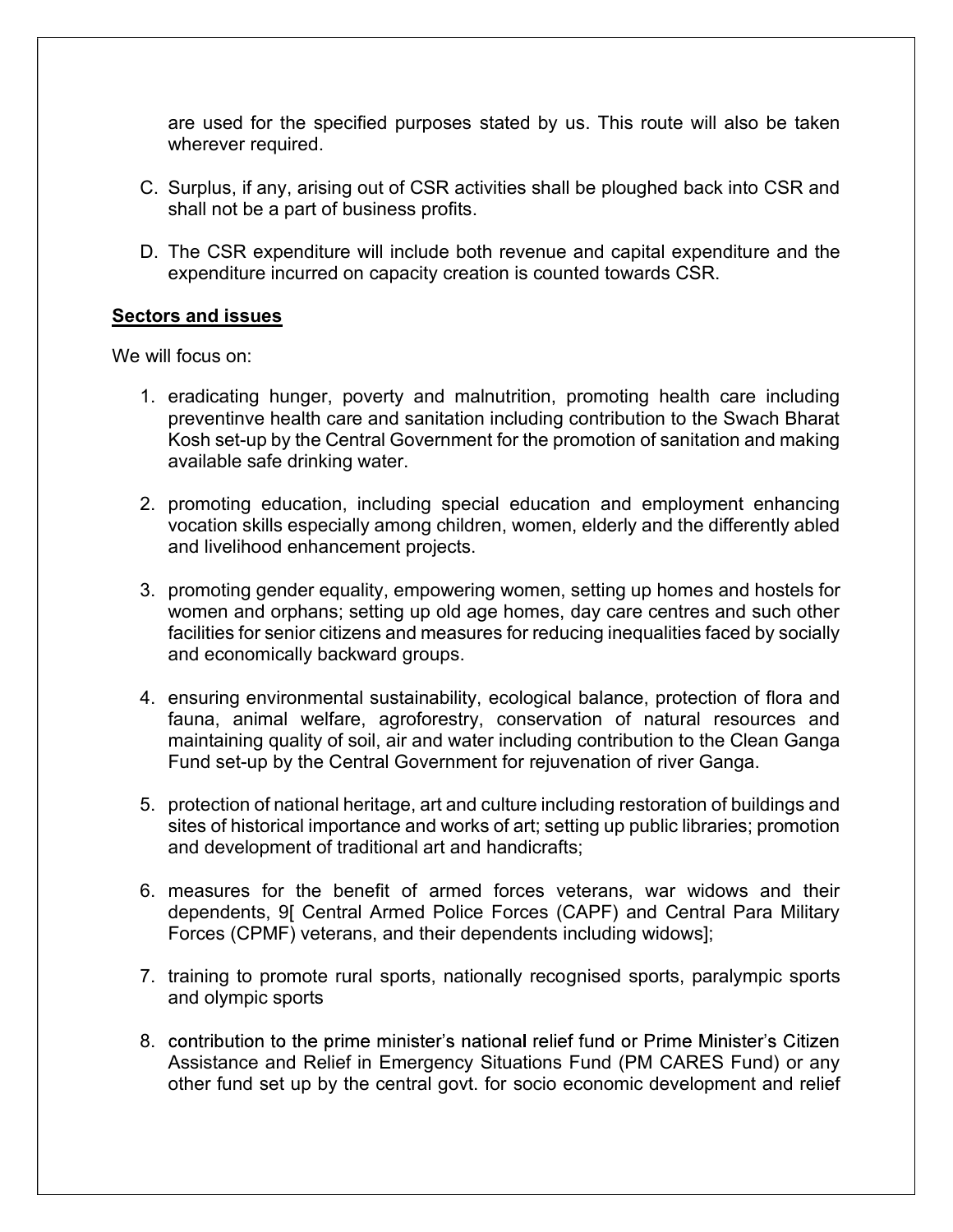are used for the specified purposes stated by us. This route will also be taken wherever required.

- C. Surplus, if any, arising out of CSR activities shall be ploughed back into CSR and shall not be a part of business profits.
- D. The CSR expenditure will include both revenue and capital expenditure and the expenditure incurred on capacity creation is counted towards CSR.

#### Sectors and issues

We will focus on:

- 1. eradicating hunger, poverty and malnutrition, promoting health care including preventinve health care and sanitation including contribution to the Swach Bharat Kosh set-up by the Central Government for the promotion of sanitation and making available safe drinking water.
- 2. promoting education, including special education and employment enhancing vocation skills especially among children, women, elderly and the differently abled and livelihood enhancement projects.
- 3. promoting gender equality, empowering women, setting up homes and hostels for women and orphans; setting up old age homes, day care centres and such other facilities for senior citizens and measures for reducing inequalities faced by socially and economically backward groups.
- 4. ensuring environmental sustainability, ecological balance, protection of flora and fauna, animal welfare, agroforestry, conservation of natural resources and maintaining quality of soil, air and water including contribution to the Clean Ganga Fund set-up by the Central Government for rejuvenation of river Ganga.
- 5. protection of national heritage, art and culture including restoration of buildings and sites of historical importance and works of art; setting up public libraries; promotion and development of traditional art and handicrafts;
- 6. measures for the benefit of armed forces veterans, war widows and their dependents, 9[ Central Armed Police Forces (CAPF) and Central Para Military Forces (CPMF) veterans, and their dependents including widows];
- 7. training to promote rural sports, nationally recognised sports, paralympic sports and olympic sports
- 8. contribution to the prime minister's national relief fund or Prime Minister's Citizen Assistance and Relief in Emergency Situations Fund (PM CARES Fund) or any other fund set up by the central govt. for socio economic development and relief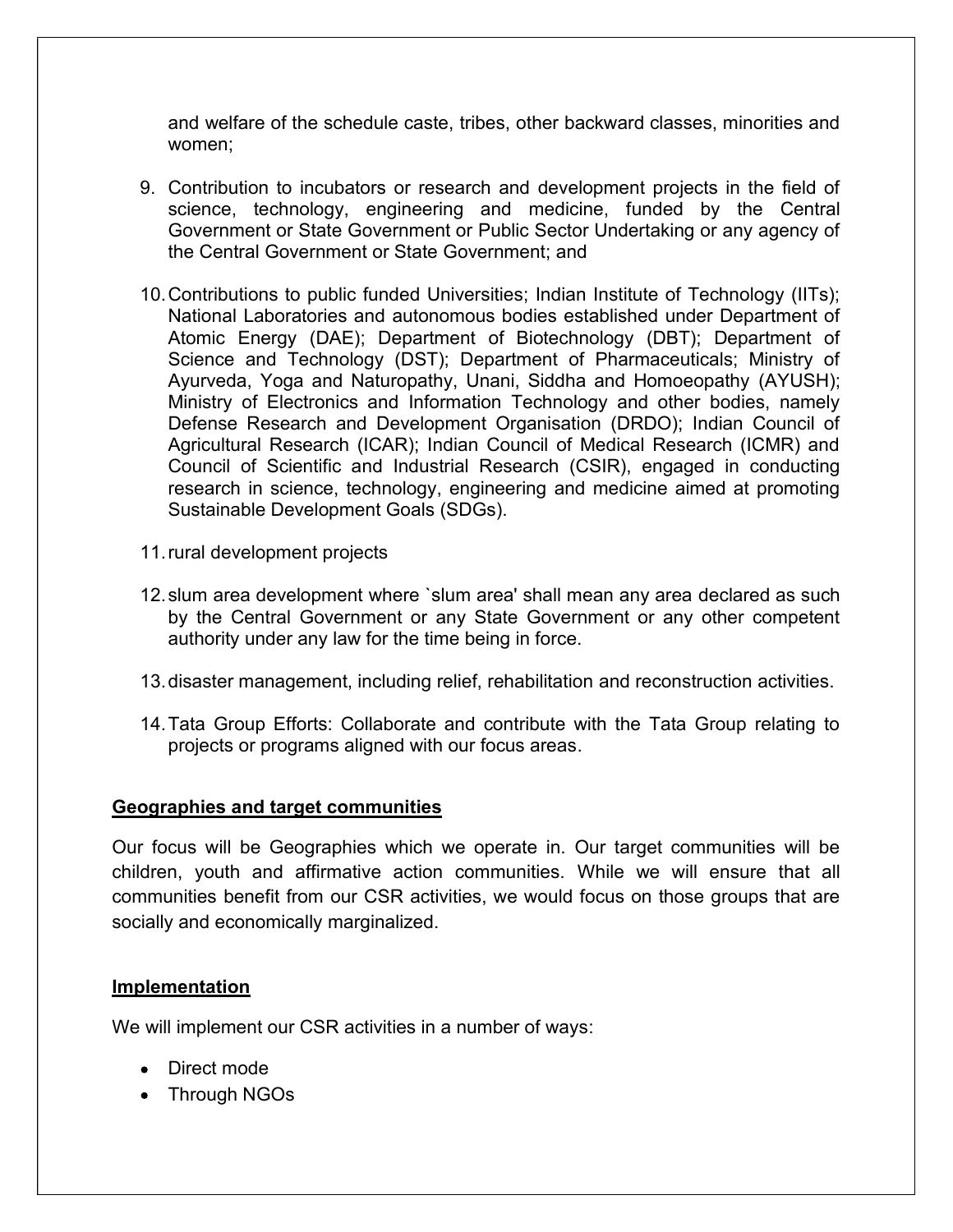and welfare of the schedule caste, tribes, other backward classes, minorities and women;

- 9. Contribution to incubators or research and development projects in the field of science, technology, engineering and medicine, funded by the Central Government or State Government or Public Sector Undertaking or any agency of the Central Government or State Government; and
- 10. Contributions to public funded Universities; Indian Institute of Technology (IITs); National Laboratories and autonomous bodies established under Department of Atomic Energy (DAE); Department of Biotechnology (DBT); Department of Science and Technology (DST); Department of Pharmaceuticals; Ministry of Ayurveda, Yoga and Naturopathy, Unani, Siddha and Homoeopathy (AYUSH); Ministry of Electronics and Information Technology and other bodies, namely Defense Research and Development Organisation (DRDO); Indian Council of Agricultural Research (ICAR); Indian Council of Medical Research (ICMR) and Council of Scientific and Industrial Research (CSIR), engaged in conducting research in science, technology, engineering and medicine aimed at promoting Sustainable Development Goals (SDGs).
- 11. rural development projects
- 12. slum area development where `slum area' shall mean any area declared as such by the Central Government or any State Government or any other competent authority under any law for the time being in force.
- 13. disaster management, including relief, rehabilitation and reconstruction activities.
- 14. Tata Group Efforts: Collaborate and contribute with the Tata Group relating to projects or programs aligned with our focus areas.

#### Geographies and target communities

Our focus will be Geographies which we operate in. Our target communities will be children, youth and affirmative action communities. While we will ensure that all communities benefit from our CSR activities, we would focus on those groups that are socially and economically marginalized.

### **Implementation**

We will implement our CSR activities in a number of ways:

- Direct mode
- Through NGOs